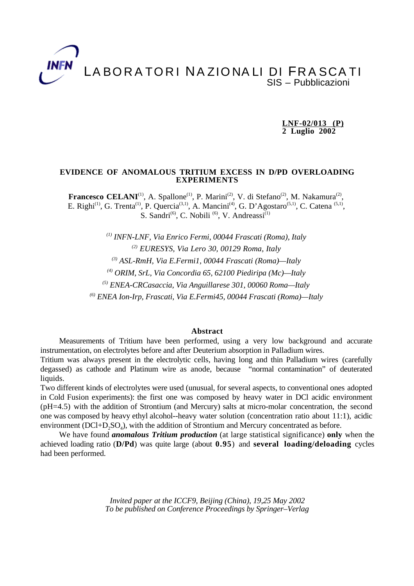# LABORATORI NA ZIONA LI DI FRASCATI SIS – Pubblicazioni

 **LNF-02/013 (P) 2 Luglio 2002**

### **EVIDENCE OF ANOMALOUS TRITIUM EXCESS IN D/PD OVERLOADING EXPERIMENTS**

**Francesco CELANI**<sup>(1)</sup>, A. Spallone<sup>(1)</sup>, P. Marini<sup>(2)</sup>, V. di Stefano<sup>(2)</sup>, M. Nakamura<sup>(2)</sup>, E. Righi<sup>(1)</sup>, G. Trenta<sup>(1)</sup>, P. Quercia<sup>(3,1)</sup>, A. Mancini<sup>(4)</sup>, G. D'Agostaro<sup>(5,1)</sup>, C. Catena<sup>(5,1)</sup>, S. Sandri<sup>(6)</sup>, C. Nobili<sup>(6)</sup>, V. Andreassi<sup>(1)</sup>

*(1) INFN-LNF, Via Enrico Fermi, 00044 Frascati (Roma), Italy (2) EURESYS, Via Lero 30, 00129 Roma, Italy (3) ASL-RmH, Via E.Fermi1, 00044 Frascati (Roma)—Italy (4) ORIM, SrL, Via Concordia 65, 62100 Piediripa (Mc)—Italy (5) ENEA-CRCasaccia, Via Anguillarese 301, 00060 Roma—Italy (6) ENEA Ion-Irp, Frascati, Via E.Fermi45, 00044 Frascati (Roma)—Italy*

## **Abstract**

Measurements of Tritium have been performed, using a very low background and accurate instrumentation, on electrolytes before and after Deuterium absorption in Palladium wires.

Tritium was always present in the electrolytic cells, having long and thin Palladium wires (carefully degassed) as cathode and Platinum wire as anode, because "normal contamination" of deuterated liquids.

Two different kinds of electrolytes were used (unusual, for several aspects, to conventional ones adopted in Cold Fusion experiments): the first one was composed by heavy water in DCl acidic environment (pH=4.5) with the addition of Strontium (and Mercury) salts at micro-molar concentration, the second one was composed by heavy ethyl alcohol--heavy water solution (concentration ratio about 11:1), acidic environment ( $DCl+D<sub>2</sub>SO<sub>4</sub>$ ), with the addition of Strontium and Mercury concentrated as before.

We have found *anomalous Tritium production* (at large statistical significance) **only** when the achieved loading ratio (**D/Pd**) was quite large (about **0.95**) and **several loading/deloading** cycles had been performed.

> *Invited paper at the ICCF9, Beijing (China), 19,25 May 2002 To be published on Conference Proceedings by Springer–Verlag*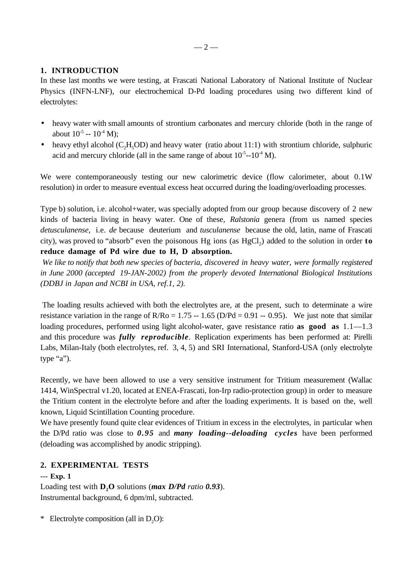## $-2-$

# **1. INTRODUCTION**

In these last months we were testing, at Frascati National Laboratory of National Institute of Nuclear Physics (INFN-LNF), our electrochemical D-Pd loading procedures using two different kind of electrolytes:

- heavy water with small amounts of strontium carbonates and mercury chloride (both in the range of about  $10^{-5} - 10^{-4}$  M):
- heavy ethyl alcohol  $(C_2H_5OD)$  and heavy water (ratio about 11:1) with strontium chloride, sulphuric acid and mercury chloride (all in the same range of about  $10^{-5}$ - $10^{-4}$  M).

We were contemporaneously testing our new calorimetric device (flow calorimeter, about 0.1W resolution) in order to measure eventual excess heat occurred during the loading/overloading processes.

Type b) solution, i.e. alcohol+water, was specially adopted from our group because discovery of 2 new kinds of bacteria living in heavy water. One of these, *Ralstonia* genera (from us named species *detusculanense*, i.e. *de* because deuterium and *tusculanense* because the old, latin, name of Frascati city), was proved to "absorb" even the poisonous Hg ions (as HgCl2) added to the solution in order **to reduce damage of Pd wire due to H, D absorption.**

*We like to notify that both new species of bacteria, discovered in heavy water, were formally registered in June 2000 (accepted 19-JAN-2002) from the properly devoted International Biological Institutions (DDBJ in Japan and NCBI in USA, ref.1, 2).*

 The loading results achieved with both the electrolytes are, at the present, such to determinate a wire resistance variation in the range of  $R/Ro = 1.75 - 1.65$  (D/Pd = 0.91 -- 0.95). We just note that similar loading procedures, performed using light alcohol-water, gave resistance ratio **as good as** 1.1—1.3 and this procedure was *fully reproducible*. Replication experiments has been performed at: Pirelli Labs, Milan-Italy (both electrolytes, ref. 3, 4, 5) and SRI International, Stanford-USA (only electrolyte type "a").

Recently, we have been allowed to use a very sensitive instrument for Tritium measurement (Wallac 1414, WinSpectral v1.20, located at ENEA-Frascati, Ion-Irp radio-protection group) in order to measure the Tritium content in the electrolyte before and after the loading experiments. It is based on the, well known, Liquid Scintillation Counting procedure.

We have presently found quite clear evidences of Tritium in excess in the electrolytes, in particular when the D/Pd ratio was close to *0.95* and *many loading--deloading cycles* have been performed (deloading was accomplished by anodic stripping).

# **2. EXPERIMENTAL TESTS**

# **--- Exp. 1**

Loading test with  $D_2O$  solutions (*max D/Pd ratio 0.93*). Instrumental background, 6 dpm/ml, subtracted.

\* Electrolyte composition (all in  $D_2O$ ):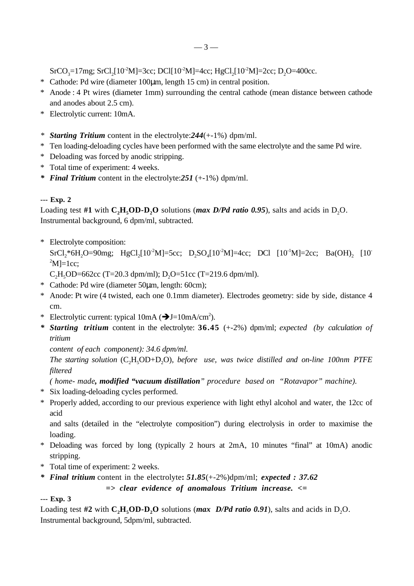$SrCO<sub>3</sub>=17mg$ ;  $SrCl<sub>2</sub>[10<sup>-2</sup>M]=3cc$ ;  $DCl[10<sup>-2</sup>M]=4cc$ ;  $HgCl<sub>2</sub>[10<sup>-2</sup>M]=2cc$ ;  $D<sub>2</sub>O=400cc$ .

- \* Cathode: Pd wire (diameter 100µm, length 15 cm) in central position.
- \* Anode : 4 Pt wires (diameter 1mm) surrounding the central cathode (mean distance between cathode and anodes about 2.5 cm).
- \* Electrolytic current: 10mA.
- *\* Starting Tritium* content in the electrolyte:*244*(+-1%) dpm/ml.
- \* Ten loading-deloading cycles have been performed with the same electrolyte and the same Pd wire.
- \* Deloading was forced by anodic stripping.
- \* Total time of experiment: 4 weeks.
- *\* Final Tritium* content in the electrolyte:*251* (+-1%) dpm/ml.

# **--- Exp. 2**

Loading test #1 with  $C_2H_2OD-D_2O$  solutions (*max D/Pd ratio 0.95*), salts and acids in D<sub>2</sub>O. Instrumental background, 6 dpm/ml, subtracted.

\* Electrolyte composition:

 $SrCl<sub>2</sub><sup>*</sup>6H<sub>2</sub>O=90mg$ ; HgCl<sub>2</sub>[10<sup>-2</sup>M]=5cc; D<sub>2</sub>SO<sub>4</sub>[10<sup>-2</sup>M]=4cc; DCl [10<sup>-1</sup>M]=2cc; Ba(OH)<sub>2</sub> [10-1]  $^2$ M]=1cc;

C<sub>2</sub>H<sub>5</sub>OD=662cc (T=20.3 dpm/ml); D<sub>2</sub>O=51cc (T=219.6 dpm/ml).

- \* Cathode: Pd wire (diameter 50µm, length: 60cm);
- \* Anode: Pt wire (4 twisted, each one 0.1mm diameter). Electrodes geometry: side by side, distance 4 cm.
- \* Electrolytic current: typical  $10mA$  ( $\rightarrow$  J=10mA/cm<sup>2</sup>).
- *\* Starting tritium* content in the electrolyte: **36.45** (+-2%) dpm/ml; *expected (by calculation of tritium*

*content of each component): 34.6 dpm/ml.*

*The starting solution* (C<sub>2</sub>H<sub>5</sub>OD+D<sub>2</sub>O), *before use, was twice distilled and on-line 100nm PTFE filtered*

*( home- made, modified "vacuum distillation" procedure based on "Rotavapor" machine).*

- \* Six loading-deloading cycles performed.
- \* Properly added, according to our previous experience with light ethyl alcohol and water, the 12cc of acid

and salts (detailed in the "electrolyte composition") during electrolysis in order to maximise the loading.

- \* Deloading was forced by long (typically 2 hours at 2mA, 10 minutes "final" at 10mA) anodic stripping.
- \* Total time of experiment: 2 weeks.
- *\* Final tritium* content in the electrolyte**:** *51.85*(+-2%)dpm/ml; *expected : 37.62*

*=> clear evidence of anomalous Tritium increase. <=*

# **--- Exp. 3**

Loading test #2 with  $C_2H_2OD-D_2O$  solutions (*max D/Pd ratio 0.91*), salts and acids in D<sub>2</sub>O. Instrumental background, 5dpm/ml, subtracted.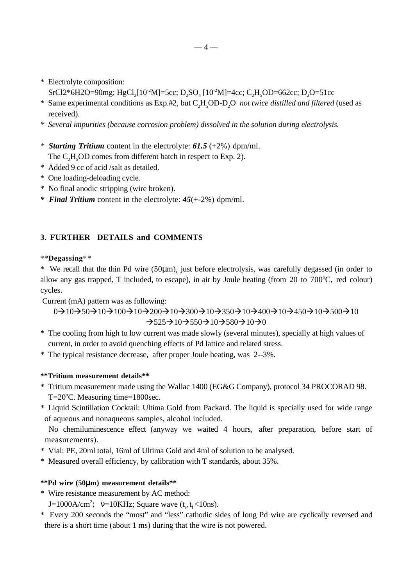- \* Electrolyte composition: SrCl2\*6H2O=90mg; HgCl<sub>2</sub>[10<sup>-2</sup>M]=5cc; D<sub>2</sub>SO<sub>4</sub> [10<sup>-2</sup>M]=4cc; C<sub>2</sub>H<sub>5</sub>OD=662cc; D<sub>2</sub>O=51cc
- \* Same experimental conditions as Exp.#2, but C2H5OD-D2O *not twice distilled and filtered* (used as received)*.*
- *\* Several impurities (because corrosion problem) dissolved in the solution during electrolysis.*
- *\* Starting Tritium* content in the electrolyte: *61.5* (+2%) dpm/ml. The C<sub>2</sub>H<sub>5</sub>OD comes from different batch in respect to Exp. 2).
- \* Added 9 cc of acid /salt as detailed.
- \* One loading-deloading cycle.
- \* No final anodic stripping (wire broken).
- *\* Final Tritium* content in the electrolyte: *45*(+-2%) dpm/ml.

# **3. FURTHER DETAILS and COMMENTS**

# \*\***Degassing**\*\*

\* We recall that the thin Pd wire (50µm), just before electrolysis, was carefully degassed (in order to allow any gas trapped, T included, to escape), in air by Joule heating (from  $20$  to  $700^{\circ}$ C, red colour) cycles.

Current (mA) pattern was as following:

 $0 \rightarrow 10 \rightarrow 50 \rightarrow 10 \rightarrow 100 \rightarrow 10 \rightarrow 200 \rightarrow 10 \rightarrow 300 \rightarrow 10 \rightarrow 350 \rightarrow 10 \rightarrow 400 \rightarrow 10 \rightarrow 450 \rightarrow 10 \rightarrow 500 \rightarrow 10$  $\rightarrow$ 525 $\rightarrow$ 10 $\rightarrow$ 550 $\rightarrow$ 10 $\rightarrow$ 580 $\rightarrow$ 10 $\rightarrow$ 0

- \* The cooling from high to low current was made slowly (several minutes), specially at high values of current, in order to avoid quenching effects of Pd lattice and related stress.
- \* The typical resistance decrease, after proper Joule heating, was 2--3%.

## **\*\*Tritium measurement details\*\***

- \* Tritium measurement made using the Wallac 1400 (EG&G Company), protocol 34 PROCORAD 98. T=20°C. Measuring time=1800sec.
- \* Liquid Scintillation Cocktail: Ultima Gold from Packard. The liquid is specially used for wide range of aqueous and nonaqueous samples, alcohol included.

 No chemiluminescence effect (anyway we waited 4 hours, after preparation, before start of measurements).

- \* Vial: PE, 20ml total, 16ml of Ultima Gold and 4ml of solution to be analysed.
- \* Measured overall efficiency, by calibration with T standards, about 35%.

## **\*\*Pd wire (50**µ**m) measurement details\*\***

- \* Wire resistance measurement by AC method:
- $J=1000$ A/cm<sup>2</sup>;  $v=10$ KHz; Square wave (t<sub>r</sub>, t<sub>f</sub> <10ns).
- \* Every 200 seconds the "most" and "less" cathodic sides of long Pd wire are cyclically reversed and there is a short time (about 1 ms) during that the wire is not powered.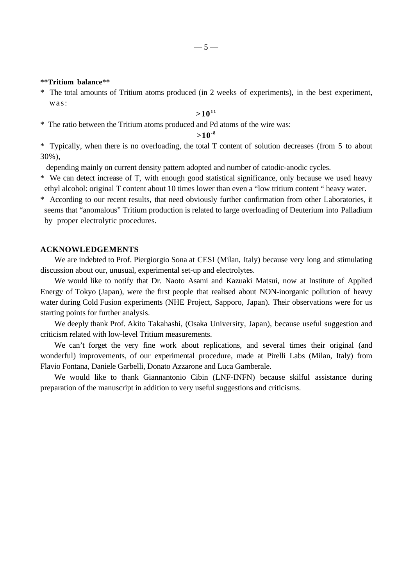#### **\*\*Tritium balance\*\***

\* The total amounts of Tritium atoms produced (in 2 weeks of experiments), in the best experiment, was:

## $>10^{11}$

\* The ratio between the Tritium atoms produced and Pd atoms of the wire was:

# **>10-8**

\* Typically, when there is no overloading, the total T content of solution decreases (from 5 to about 30%),

- depending mainly on current density pattern adopted and number of catodic-anodic cycles.
- \* We can detect increase of T, with enough good statistical significance, only because we used heavy ethyl alcohol: original T content about 10 times lower than even a "low tritium content " heavy water.

\* According to our recent results, that need obviously further confirmation from other Laboratories, it seems that "anomalous" Tritium production is related to large overloading of Deuterium into Palladium by proper electrolytic procedures.

## **ACKNOWLEDGEMENTS**

We are indebted to Prof. Piergiorgio Sona at CESI (Milan, Italy) because very long and stimulating discussion about our, unusual, experimental set-up and electrolytes.

We would like to notify that Dr. Naoto Asami and Kazuaki Matsui, now at Institute of Applied Energy of Tokyo (Japan), were the first people that realised about NON-inorganic pollution of heavy water during Cold Fusion experiments (NHE Project, Sapporo, Japan). Their observations were for us starting points for further analysis.

We deeply thank Prof. Akito Takahashi, (Osaka University, Japan), because useful suggestion and criticism related with low-level Tritium measurements.

We can't forget the very fine work about replications, and several times their original (and wonderful) improvements, of our experimental procedure, made at Pirelli Labs (Milan, Italy) from Flavio Fontana, Daniele Garbelli, Donato Azzarone and Luca Gamberale.

We would like to thank Giannantonio Cibin (LNF-INFN) because skilful assistance during preparation of the manuscript in addition to very useful suggestions and criticisms.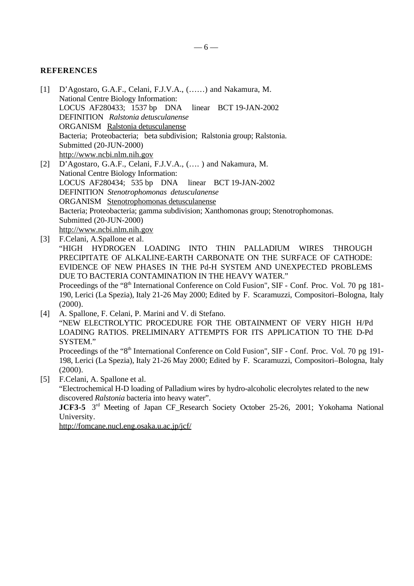# **REFERENCES**

- [1] D'Agostaro, G.A.F., Celani, F.J.V.A., (……) and Nakamura, M. National Centre Biology Information: LOCUS AF280433; 1537 bp DNA linear BCT 19-JAN-2002 DEFINITION *Ralstonia detusculanense* ORGANISM Ralstonia detusculanense Bacteria; Proteobacteria; beta subdivision; Ralstonia group; Ralstonia. Submitted (20-JUN-2000) http://www.ncbi.nlm.nih.gov [2] D'Agostaro, G.A.F., Celani, F.J.V.A., (…. ) and Nakamura, M.
- National Centre Biology Information: LOCUS AF280434; 535 bp DNA linear BCT 19-JAN-2002 DEFINITION *Stenotrophomonas detusculanense* ORGANISM Stenotrophomonas detusculanense Bacteria; Proteobacteria; gamma subdivision; Xanthomonas group; Stenotrophomonas. Submitted (20-JUN-2000) http://www.ncbi.nlm.nih.gov
- [3] F.Celani, A.Spallone et al. "HIGH HYDROGEN LOADING INTO THIN PALLADIUM WIRES THROUGH PRECIPITATE OF ALKALINE-EARTH CARBONATE ON THE SURFACE OF CATHODE: EVIDENCE OF NEW PHASES IN THE Pd-H SYSTEM AND UNEXPECTED PROBLEMS DUE TO BACTERIA CONTAMINATION IN THE HEAVY WATER." Proceedings of the "8<sup>th</sup> International Conference on Cold Fusion", SIF - Conf. Proc. Vol. 70 pg 181-190, Lerici (La Spezia), Italy 21-26 May 2000; Edited by F. Scaramuzzi, Compositori–Bologna, Italy (2000).
- [4] A. Spallone, F. Celani, P. Marini and V. di Stefano. "NEW ELECTROLYTIC PROCEDURE FOR THE OBTAINMENT OF VERY HIGH H/Pd LOADING RATIOS. PRELIMINARY ATTEMPTS FOR ITS APPLICATION TO THE D-Pd SYSTEM."

Proceedings of the "8<sup>th</sup> International Conference on Cold Fusion", SIF - Conf. Proc. Vol. 70 pg 191-198, Lerici (La Spezia), Italy 21-26 May 2000; Edited by F. Scaramuzzi, Compositori–Bologna, Italy (2000).

[5] F.Celani, A. Spallone et al.

"Electrochemical H-D loading of Palladium wires by hydro-alcoholic elecrolytes related to the new discovered *Ralstonia* bacteria into heavy water".

**JCF3-5** 3<sup>rd</sup> Meeting of Japan CF Research Society October 25-26, 2001; Yokohama National University.

http://fomcane.nucl.eng.osaka.u.ac.jp/jcf/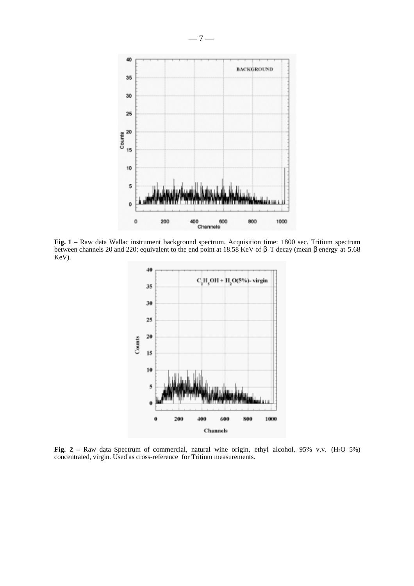

**Fig. 1 –** Raw data Wallac instrument background spectrum. Acquisition time: 1800 sec. Tritium spectrum between channels 20 and 220: equivalent to the end point at 18.58 KeV of β T decay (mean β energy at 5.68 KeV).



Fig. 2 – Raw data Spectrum of commercial, natural wine origin, ethyl alcohol, 95% v.v. (H<sub>2</sub>O 5%) concentrated, virgin. Used as cross-reference for Tritium measurements.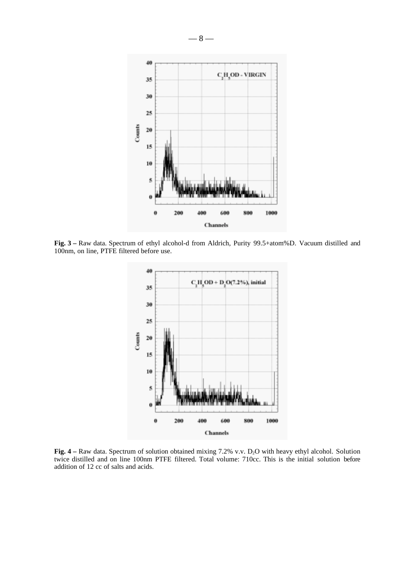

**Fig. 3 –** Raw data. Spectrum of ethyl alcohol-d from Aldrich, Purity 99.5+atom%D. Vacuum distilled and 100nm, on line, PTFE filtered before use.



**Fig. 4** – Raw data. Spectrum of solution obtained mixing 7.2% v.v. D<sub>2</sub>O with heavy ethyl alcohol. Solution twice distilled and on line 100nm PTFE filtered. Total volume: 710cc. This is the initial solution before addition of 12 cc of salts and acids.

 $-8-$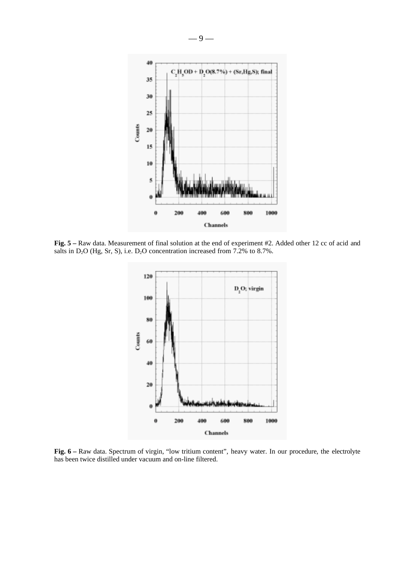

**Fig. 5 –** Raw data. Measurement of final solution at the end of experiment #2. Added other 12 cc of acid and salts in D<sub>2</sub>O (Hg, Sr, S), i.e. D<sub>2</sub>O concentration increased from 7.2% to 8.7%.



**Fig. 6 –** Raw data. Spectrum of virgin, "low tritium content", heavy water. In our procedure, the electrolyte has been twice distilled under vacuum and on-line filtered.

— 9 —